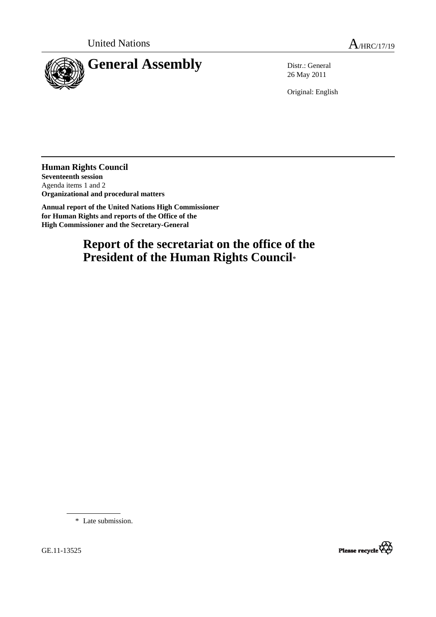

26 May 2011

Original: English

**Human Rights Council Seventeenth session**  Agenda items 1 and 2 **Organizational and procedural matters** 

**Annual report of the United Nations High Commissioner for Human Rights and reports of the Office of the High Commissioner and the Secretary-General** 

> **Report of the secretariat on the office of the President of the Human Rights Council**\*

\* Late submission.



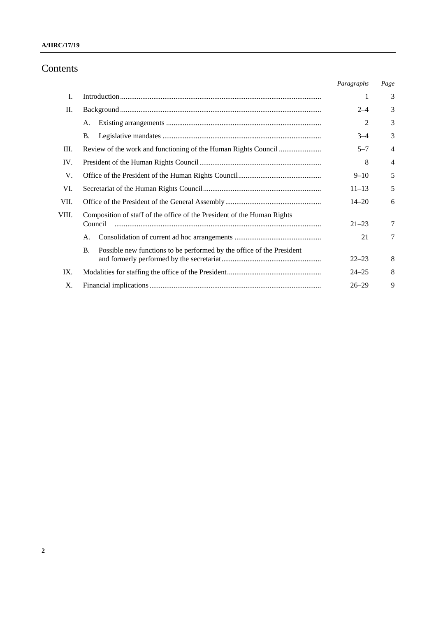# Contents

|       |                                                                                    | Paragraphs | Page           |
|-------|------------------------------------------------------------------------------------|------------|----------------|
| I.    |                                                                                    | 1          | 3              |
| П.    |                                                                                    | $2 - 4$    | 3              |
|       | А.                                                                                 | 2          | 3              |
|       | <b>B.</b>                                                                          | $3 - 4$    | 3              |
| Ш.    |                                                                                    | $5 - 7$    | $\overline{4}$ |
| IV.   |                                                                                    | 8          | $\overline{4}$ |
| V.    |                                                                                    | $9 - 10$   | 5              |
| VI.   |                                                                                    | $11 - 13$  | 5              |
| VII.  |                                                                                    | $14 - 20$  | 6              |
| VIII. | Composition of staff of the office of the President of the Human Rights            |            |                |
|       | Council                                                                            | $21 - 23$  | $\tau$         |
|       | A.                                                                                 | 21         | $\tau$         |
|       | Possible new functions to be performed by the office of the President<br><b>B.</b> |            |                |
|       |                                                                                    | $22 - 23$  | 8              |
| IX.   |                                                                                    | $24 - 25$  | 8              |
| Χ.    |                                                                                    | $26 - 29$  | 9              |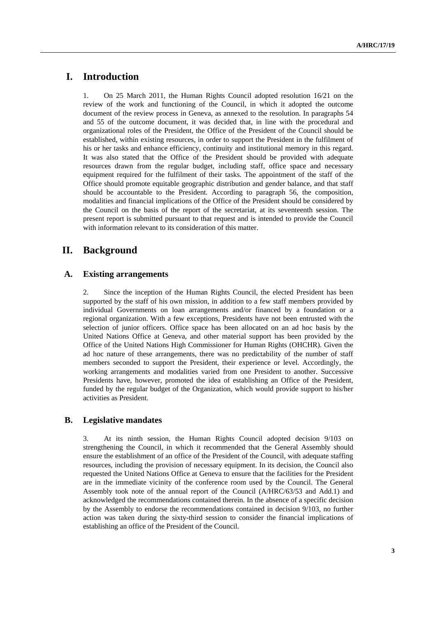# **I. Introduction**

1. On 25 March 2011, the Human Rights Council adopted resolution 16/21 on the review of the work and functioning of the Council, in which it adopted the outcome document of the review process in Geneva, as annexed to the resolution. In paragraphs 54 and 55 of the outcome document, it was decided that, in line with the procedural and organizational roles of the President, the Office of the President of the Council should be established, within existing resources, in order to support the President in the fulfilment of his or her tasks and enhance efficiency, continuity and institutional memory in this regard. It was also stated that the Office of the President should be provided with adequate resources drawn from the regular budget, including staff, office space and necessary equipment required for the fulfilment of their tasks. The appointment of the staff of the Office should promote equitable geographic distribution and gender balance, and that staff should be accountable to the President. According to paragraph 56, the composition, modalities and financial implications of the Office of the President should be considered by the Council on the basis of the report of the secretariat, at its seventeenth session. The present report is submitted pursuant to that request and is intended to provide the Council with information relevant to its consideration of this matter.

## **II. Background**

#### **A. Existing arrangements**

2. Since the inception of the Human Rights Council, the elected President has been supported by the staff of his own mission, in addition to a few staff members provided by individual Governments on loan arrangements and/or financed by a foundation or a regional organization. With a few exceptions, Presidents have not been entrusted with the selection of junior officers. Office space has been allocated on an ad hoc basis by the United Nations Office at Geneva, and other material support has been provided by the Office of the United Nations High Commissioner for Human Rights (OHCHR). Given the ad hoc nature of these arrangements, there was no predictability of the number of staff members seconded to support the President, their experience or level. Accordingly, the working arrangements and modalities varied from one President to another. Successive Presidents have, however, promoted the idea of establishing an Office of the President, funded by the regular budget of the Organization, which would provide support to his/her activities as President.

#### **B. Legislative mandates**

3. At its ninth session, the Human Rights Council adopted decision 9/103 on strengthening the Council, in which it recommended that the General Assembly should ensure the establishment of an office of the President of the Council, with adequate staffing resources, including the provision of necessary equipment. In its decision, the Council also requested the United Nations Office at Geneva to ensure that the facilities for the President are in the immediate vicinity of the conference room used by the Council. The General Assembly took note of the annual report of the Council (A/HRC/63/53 and Add.1) and acknowledged the recommendations contained therein. In the absence of a specific decision by the Assembly to endorse the recommendations contained in decision 9/103, no further action was taken during the sixty-third session to consider the financial implications of establishing an office of the President of the Council.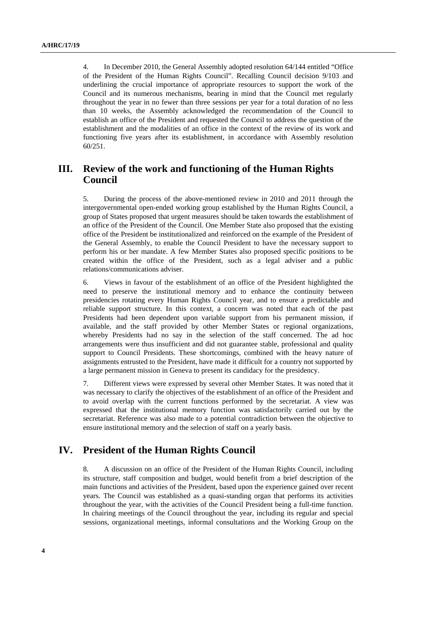4. In December 2010, the General Assembly adopted resolution 64/144 entitled "Office of the President of the Human Rights Council". Recalling Council decision 9/103 and underlining the crucial importance of appropriate resources to support the work of the Council and its numerous mechanisms, bearing in mind that the Council met regularly throughout the year in no fewer than three sessions per year for a total duration of no less than 10 weeks, the Assembly acknowledged the recommendation of the Council to establish an office of the President and requested the Council to address the question of the establishment and the modalities of an office in the context of the review of its work and functioning five years after its establishment, in accordance with Assembly resolution 60/251.

# **III. Review of the work and functioning of the Human Rights Council**

5. During the process of the above-mentioned review in 2010 and 2011 through the intergovernmental open-ended working group established by the Human Rights Council, a group of States proposed that urgent measures should be taken towards the establishment of an office of the President of the Council. One Member State also proposed that the existing office of the President be institutionalized and reinforced on the example of the President of the General Assembly, to enable the Council President to have the necessary support to perform his or her mandate. A few Member States also proposed specific positions to be created within the office of the President, such as a legal adviser and a public relations/communications adviser.

6. Views in favour of the establishment of an office of the President highlighted the need to preserve the institutional memory and to enhance the continuity between presidencies rotating every Human Rights Council year, and to ensure a predictable and reliable support structure. In this context, a concern was noted that each of the past Presidents had been dependent upon variable support from his permanent mission, if available, and the staff provided by other Member States or regional organizations, whereby Presidents had no say in the selection of the staff concerned. The ad hoc arrangements were thus insufficient and did not guarantee stable, professional and quality support to Council Presidents. These shortcomings, combined with the heavy nature of assignments entrusted to the President, have made it difficult for a country not supported by a large permanent mission in Geneva to present its candidacy for the presidency.

7. Different views were expressed by several other Member States. It was noted that it was necessary to clarify the objectives of the establishment of an office of the President and to avoid overlap with the current functions performed by the secretariat. A view was expressed that the institutional memory function was satisfactorily carried out by the secretariat. Reference was also made to a potential contradiction between the objective to ensure institutional memory and the selection of staff on a yearly basis.

### **IV. President of the Human Rights Council**

8. A discussion on an office of the President of the Human Rights Council, including its structure, staff composition and budget, would benefit from a brief description of the main functions and activities of the President, based upon the experience gained over recent years. The Council was established as a quasi-standing organ that performs its activities throughout the year, with the activities of the Council President being a full-time function. In chairing meetings of the Council throughout the year, including its regular and special sessions, organizational meetings, informal consultations and the Working Group on the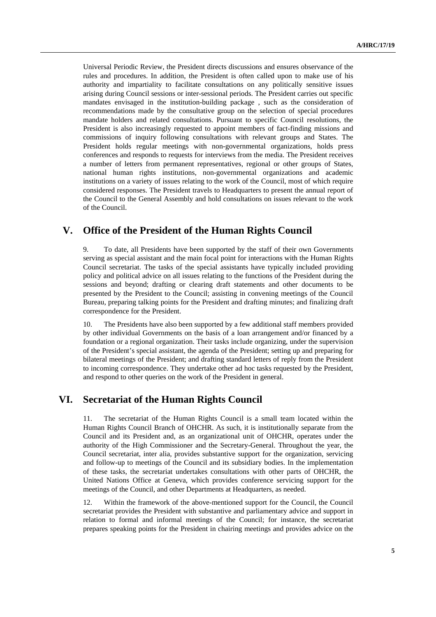Universal Periodic Review, the President directs discussions and ensures observance of the rules and procedures. In addition, the President is often called upon to make use of his authority and impartiality to facilitate consultations on any politically sensitive issues arising during Council sessions or inter-sessional periods. The President carries out specific mandates envisaged in the institution-building package , such as the consideration of recommendations made by the consultative group on the selection of special procedures mandate holders and related consultations. Pursuant to specific Council resolutions, the President is also increasingly requested to appoint members of fact-finding missions and commissions of inquiry following consultations with relevant groups and States. The President holds regular meetings with non-governmental organizations, holds press conferences and responds to requests for interviews from the media. The President receives a number of letters from permanent representatives, regional or other groups of States, national human rights institutions, non-governmental organizations and academic institutions on a variety of issues relating to the work of the Council, most of which require considered responses. The President travels to Headquarters to present the annual report of the Council to the General Assembly and hold consultations on issues relevant to the work of the Council.

# **V. Office of the President of the Human Rights Council**

9. To date, all Presidents have been supported by the staff of their own Governments serving as special assistant and the main focal point for interactions with the Human Rights Council secretariat. The tasks of the special assistants have typically included providing policy and political advice on all issues relating to the functions of the President during the sessions and beyond; drafting or clearing draft statements and other documents to be presented by the President to the Council; assisting in convening meetings of the Council Bureau, preparing talking points for the President and drafting minutes; and finalizing draft correspondence for the President.

10. The Presidents have also been supported by a few additional staff members provided by other individual Governments on the basis of a loan arrangement and/or financed by a foundation or a regional organization. Their tasks include organizing, under the supervision of the President's special assistant, the agenda of the President; setting up and preparing for bilateral meetings of the President; and drafting standard letters of reply from the President to incoming correspondence. They undertake other ad hoc tasks requested by the President, and respond to other queries on the work of the President in general.

## **VI. Secretariat of the Human Rights Council**

11. The secretariat of the Human Rights Council is a small team located within the Human Rights Council Branch of OHCHR. As such, it is institutionally separate from the Council and its President and, as an organizational unit of OHCHR, operates under the authority of the High Commissioner and the Secretary-General. Throughout the year, the Council secretariat, inter alia*,* provides substantive support for the organization, servicing and follow-up to meetings of the Council and its subsidiary bodies. In the implementation of these tasks, the secretariat undertakes consultations with other parts of OHCHR, the United Nations Office at Geneva, which provides conference servicing support for the meetings of the Council, and other Departments at Headquarters, as needed.

12. Within the framework of the above-mentioned support for the Council, the Council secretariat provides the President with substantive and parliamentary advice and support in relation to formal and informal meetings of the Council; for instance, the secretariat prepares speaking points for the President in chairing meetings and provides advice on the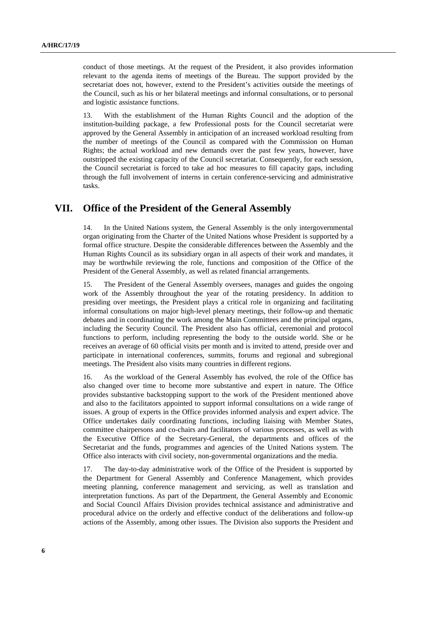conduct of those meetings. At the request of the President, it also provides information relevant to the agenda items of meetings of the Bureau. The support provided by the secretariat does not, however, extend to the President's activities outside the meetings of the Council, such as his or her bilateral meetings and informal consultations, or to personal and logistic assistance functions.

13. With the establishment of the Human Rights Council and the adoption of the institution-building package, a few Professional posts for the Council secretariat were approved by the General Assembly in anticipation of an increased workload resulting from the number of meetings of the Council as compared with the Commission on Human Rights; the actual workload and new demands over the past few years, however, have outstripped the existing capacity of the Council secretariat. Consequently, for each session, the Council secretariat is forced to take ad hoc measures to fill capacity gaps, including through the full involvement of interns in certain conference-servicing and administrative tasks.

#### **VII. Office of the President of the General Assembly**

14. In the United Nations system, the General Assembly is the only intergovernmental organ originating from the Charter of the United Nations whose President is supported by a formal office structure. Despite the considerable differences between the Assembly and the Human Rights Council as its subsidiary organ in all aspects of their work and mandates, it may be worthwhile reviewing the role, functions and composition of the Office of the President of the General Assembly, as well as related financial arrangements.

15. The President of the General Assembly oversees, manages and guides the ongoing work of the Assembly throughout the year of the rotating presidency. In addition to presiding over meetings, the President plays a critical role in organizing and facilitating informal consultations on major high-level plenary meetings, their follow-up and thematic debates and in coordinating the work among the Main Committees and the principal organs, including the Security Council. The President also has official, ceremonial and protocol functions to perform, including representing the body to the outside world. She or he receives an average of 60 official visits per month and is invited to attend, preside over and participate in international conferences, summits, forums and regional and subregional meetings. The President also visits many countries in different regions.

16. As the workload of the General Assembly has evolved, the role of the Office has also changed over time to become more substantive and expert in nature. The Office provides substantive backstopping support to the work of the President mentioned above and also to the facilitators appointed to support informal consultations on a wide range of issues. A group of experts in the Office provides informed analysis and expert advice. The Office undertakes daily coordinating functions, including liaising with Member States, committee chairpersons and co-chairs and facilitators of various processes, as well as with the Executive Office of the Secretary-General, the departments and offices of the Secretariat and the funds, programmes and agencies of the United Nations system. The Office also interacts with civil society, non-governmental organizations and the media.

17. The day-to-day administrative work of the Office of the President is supported by the Department for General Assembly and Conference Management, which provides meeting planning, conference management and servicing, as well as translation and interpretation functions. As part of the Department, the General Assembly and Economic and Social Council Affairs Division provides technical assistance and administrative and procedural advice on the orderly and effective conduct of the deliberations and follow-up actions of the Assembly, among other issues. The Division also supports the President and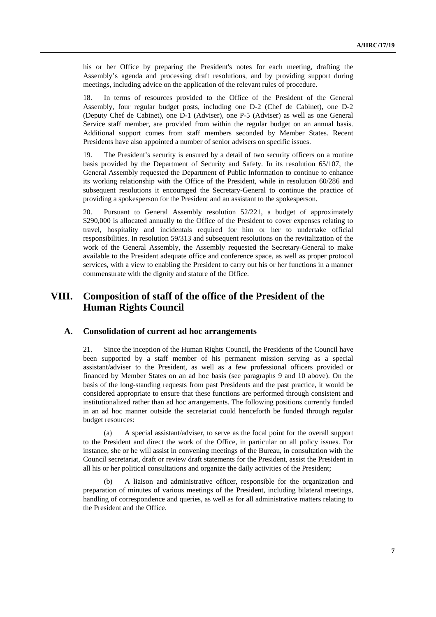his or her Office by preparing the President's notes for each meeting, drafting the Assembly's agenda and processing draft resolutions, and by providing support during meetings, including advice on the application of the relevant rules of procedure.

18. In terms of resources provided to the Office of the President of the General Assembly, four regular budget posts, including one D-2 (Chef de Cabinet), one D-2 (Deputy Chef de Cabinet), one D-1 (Adviser), one P-5 (Adviser) as well as one General Service staff member, are provided from within the regular budget on an annual basis. Additional support comes from staff members seconded by Member States. Recent Presidents have also appointed a number of senior advisers on specific issues.

19. The President's security is ensured by a detail of two security officers on a routine basis provided by the Department of Security and Safety. In its resolution 65/107, the General Assembly requested the Department of Public Information to continue to enhance its working relationship with the Office of the President, while in resolution 60/286 and subsequent resolutions it encouraged the Secretary-General to continue the practice of providing a spokesperson for the President and an assistant to the spokesperson.

20. Pursuant to General Assembly resolution 52/221, a budget of approximately \$290,000 is allocated annually to the Office of the President to cover expenses relating to travel, hospitality and incidentals required for him or her to undertake official responsibilities. In resolution 59/313 and subsequent resolutions on the revitalization of the work of the General Assembly, the Assembly requested the Secretary-General to make available to the President adequate office and conference space, as well as proper protocol services, with a view to enabling the President to carry out his or her functions in a manner commensurate with the dignity and stature of the Office.

# **VIII. Composition of staff of the office of the President of the Human Rights Council**

#### **A. Consolidation of current ad hoc arrangements**

21. Since the inception of the Human Rights Council, the Presidents of the Council have been supported by a staff member of his permanent mission serving as a special assistant/adviser to the President, as well as a few professional officers provided or financed by Member States on an ad hoc basis (see paragraphs 9 and 10 above). On the basis of the long-standing requests from past Presidents and the past practice, it would be considered appropriate to ensure that these functions are performed through consistent and institutionalized rather than ad hoc arrangements. The following positions currently funded in an ad hoc manner outside the secretariat could henceforth be funded through regular budget resources:

 (a) A special assistant/adviser, to serve as the focal point for the overall support to the President and direct the work of the Office, in particular on all policy issues. For instance, she or he will assist in convening meetings of the Bureau, in consultation with the Council secretariat, draft or review draft statements for the President, assist the President in all his or her political consultations and organize the daily activities of the President;

 (b) A liaison and administrative officer, responsible for the organization and preparation of minutes of various meetings of the President, including bilateral meetings, handling of correspondence and queries, as well as for all administrative matters relating to the President and the Office.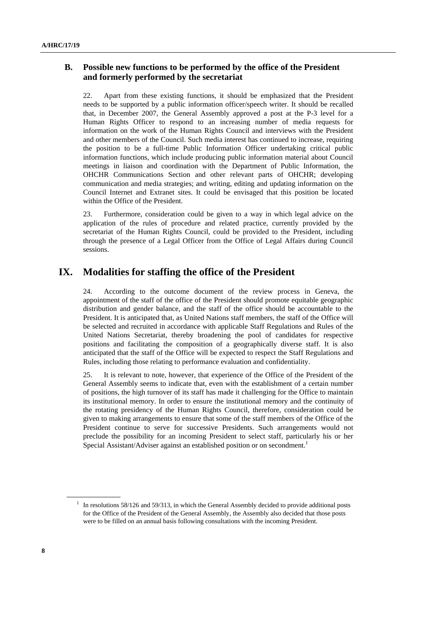#### **B. Possible new functions to be performed by the office of the President and formerly performed by the secretariat**

22. Apart from these existing functions, it should be emphasized that the President needs to be supported by a public information officer/speech writer. It should be recalled that, in December 2007, the General Assembly approved a post at the P-3 level for a Human Rights Officer to respond to an increasing number of media requests for information on the work of the Human Rights Council and interviews with the President and other members of the Council. Such media interest has continued to increase, requiring the position to be a full-time Public Information Officer undertaking critical public information functions, which include producing public information material about Council meetings in liaison and coordination with the Department of Public Information, the OHCHR Communications Section and other relevant parts of OHCHR; developing communication and media strategies; and writing, editing and updating information on the Council Internet and Extranet sites. It could be envisaged that this position be located within the Office of the President.

23. Furthermore, consideration could be given to a way in which legal advice on the application of the rules of procedure and related practice, currently provided by the secretariat of the Human Rights Council, could be provided to the President, including through the presence of a Legal Officer from the Office of Legal Affairs during Council sessions.

## **IX. Modalities for staffing the office of the President**

24. According to the outcome document of the review process in Geneva, the appointment of the staff of the office of the President should promote equitable geographic distribution and gender balance, and the staff of the office should be accountable to the President. It is anticipated that, as United Nations staff members, the staff of the Office will be selected and recruited in accordance with applicable Staff Regulations and Rules of the United Nations Secretariat, thereby broadening the pool of candidates for respective positions and facilitating the composition of a geographically diverse staff. It is also anticipated that the staff of the Office will be expected to respect the Staff Regulations and Rules, including those relating to performance evaluation and confidentiality.

25. It is relevant to note, however, that experience of the Office of the President of the General Assembly seems to indicate that, even with the establishment of a certain number of positions, the high turnover of its staff has made it challenging for the Office to maintain its institutional memory. In order to ensure the institutional memory and the continuity of the rotating presidency of the Human Rights Council, therefore, consideration could be given to making arrangements to ensure that some of the staff members of the Office of the President continue to serve for successive Presidents. Such arrangements would not preclude the possibility for an incoming President to select staff, particularly his or her Special Assistant/Adviser against an established position or on secondment.<sup>1</sup>

 $1$  In resolutions 58/126 and 59/313, in which the General Assembly decided to provide additional posts for the Office of the President of the General Assembly, the Assembly also decided that those posts were to be filled on an annual basis following consultations with the incoming President.